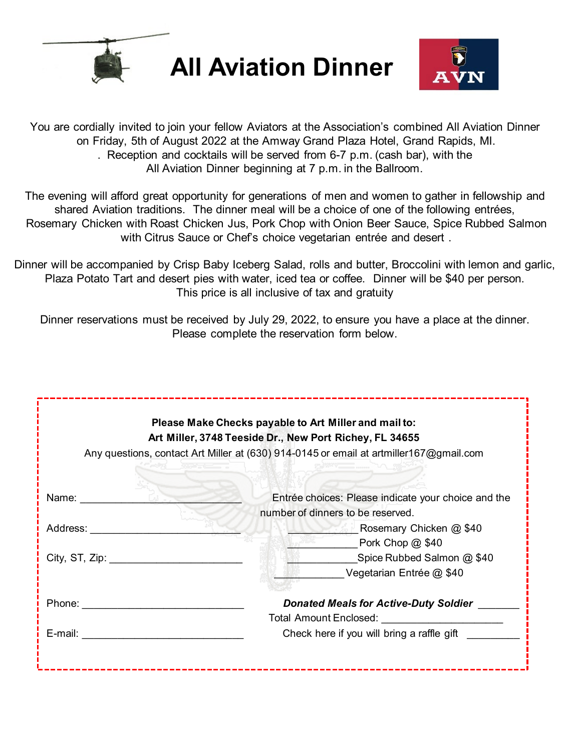

**All Aviation Dinner**



You are cordially invited to join your fellow Aviators at the Association's combined All Aviation Dinner on Friday, 5th of August 2022 at the Amway Grand Plaza Hotel, Grand Rapids, MI. . Reception and cocktails will be served from 6-7 p.m. (cash bar), with the All Aviation Dinner beginning at 7 p.m. in the Ballroom.

The evening will afford great opportunity for generations of men and women to gather in fellowship and shared Aviation traditions. The dinner meal will be a choice of one of the following entrées, Rosemary Chicken with Roast Chicken Jus, Pork Chop with Onion Beer Sauce, Spice Rubbed Salmon with Citrus Sauce or Chef's choice vegetarian entrée and desert .

Dinner will be accompanied by Crisp Baby Iceberg Salad, rolls and butter, Broccolini with lemon and garlic, Plaza Potato Tart and desert pies with water, iced tea or coffee. Dinner will be \$40 per person. This price is all inclusive of tax and gratuity

Dinner reservations must be received by July 29, 2022, to ensure you have a place at the dinner. Please complete the reservation form below.

| Please Make Checks payable to Art Miller and mail to:<br>Art Miller, 3748 Teeside Dr., New Port Richey, FL 34655 |                                                     |  |
|------------------------------------------------------------------------------------------------------------------|-----------------------------------------------------|--|
| Any questions, contact Art Miller at (630) 914-0145 or email at artmiller167@gmail.com                           |                                                     |  |
|                                                                                                                  |                                                     |  |
| Name: _________<br>$\mathcal{M}$ or $\sim$                                                                       | Entrée choices: Please indicate your choice and the |  |
|                                                                                                                  | number of dinners to be reserved.                   |  |
| Address:                                                                                                         | <b>Example 20 Rosemary Chicken @ \$40</b>           |  |
|                                                                                                                  | Pork Chop @ \$40                                    |  |
|                                                                                                                  | Spice Rubbed Salmon @ \$40                          |  |
|                                                                                                                  | Vegetarian Entrée @ \$40                            |  |
| Phone: ________________________                                                                                  | <b>Donated Meals for Active-Duty Soldier</b>        |  |
|                                                                                                                  | Total Amount Enclosed: _______________________      |  |
| E-mail: __________________________                                                                               | Check here if you will bring a raffle gift          |  |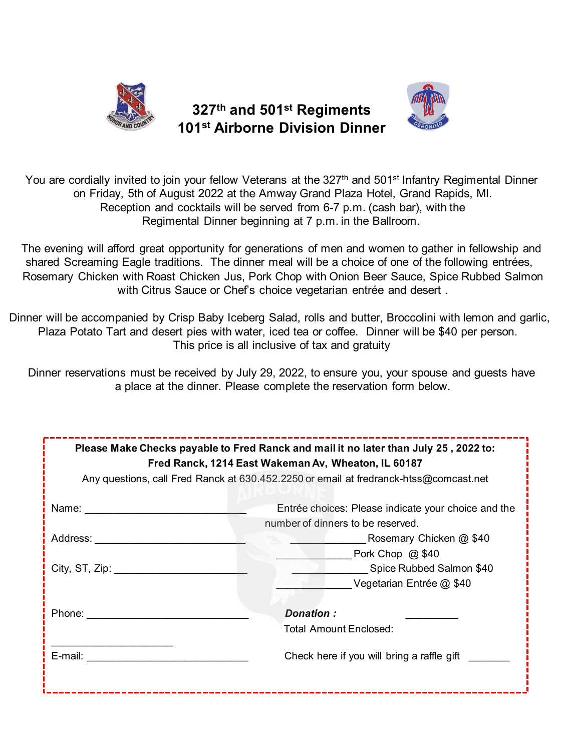

## **327th and 501st Regiments 101st Airborne Division Dinner**



You are cordially invited to join your fellow Veterans at the 327<sup>th</sup> and 501<sup>st</sup> Infantry Regimental Dinner on Friday, 5th of August 2022 at the Amway Grand Plaza Hotel, Grand Rapids, MI. Reception and cocktails will be served from 6-7 p.m. (cash bar), with the Regimental Dinner beginning at 7 p.m. in the Ballroom.

The evening will afford great opportunity for generations of men and women to gather in fellowship and shared Screaming Eagle traditions. The dinner meal will be a choice of one of the following entrées, Rosemary Chicken with Roast Chicken Jus, Pork Chop with Onion Beer Sauce, Spice Rubbed Salmon with Citrus Sauce or Chef's choice vegetarian entrée and desert .

Dinner will be accompanied by Crisp Baby Iceberg Salad, rolls and butter, Broccolini with lemon and garlic, Plaza Potato Tart and desert pies with water, iced tea or coffee. Dinner will be \$40 per person. This price is all inclusive of tax and gratuity

Dinner reservations must be received by July 29, 2022, to ensure you, your spouse and guests have a place at the dinner. Please complete the reservation form below.

| Please Make Checks payable to Fred Ranck and mail it no later than July 25, 2022 to:<br>Fred Ranck, 1214 East Wakeman Av, Wheaton, IL 60187 |                                                                                          |  |
|---------------------------------------------------------------------------------------------------------------------------------------------|------------------------------------------------------------------------------------------|--|
| Any questions, call Fred Ranck at 630.452.2250 or email at fredranck-htss@comcast.net                                                       |                                                                                          |  |
| Name: <b>Name</b>                                                                                                                           | Entrée choices: Please indicate your choice and the<br>number of dinners to be reserved. |  |
| Address:                                                                                                                                    | <b>Example 20 Rosemary Chicken @ \$40</b>                                                |  |
|                                                                                                                                             | Pork Chop $@$ \$40                                                                       |  |
| City, ST, Zip: $\frac{1}{2}$                                                                                                                | Spice Rubbed Salmon \$40                                                                 |  |
|                                                                                                                                             | Vegetarian Entrée @ \$40                                                                 |  |
| Phone: __________                                                                                                                           | Donation:<br>Total Amount Enclosed:                                                      |  |
| E-mail: $\qquad \qquad$                                                                                                                     | Check here if you will bring a raffle gift                                               |  |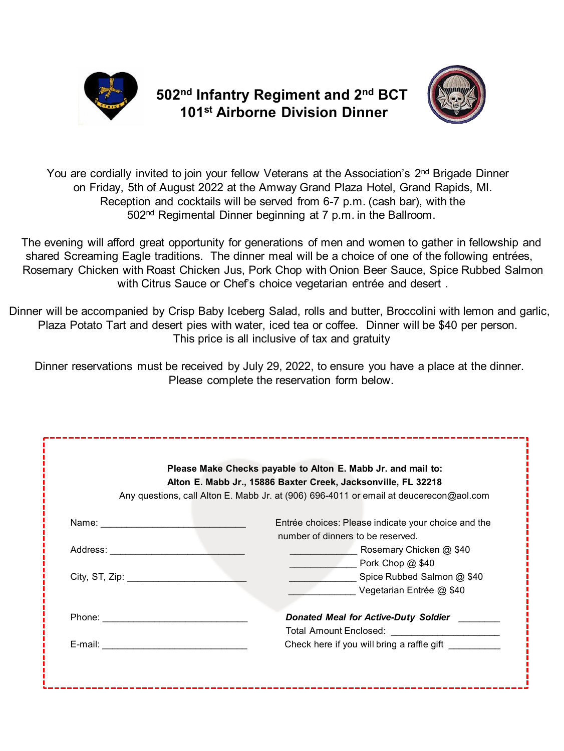

## **502nd Infantry Regiment and 2nd BCT 101st Airborne Division Dinner**



You are cordially invited to join your fellow Veterans at the Association's  $2<sup>nd</sup>$  Brigade Dinner on Friday, 5th of August 2022 at the Amway Grand Plaza Hotel, Grand Rapids, MI. Reception and cocktails will be served from 6-7 p.m. (cash bar), with the 502nd Regimental Dinner beginning at 7 p.m. in the Ballroom.

The evening will afford great opportunity for generations of men and women to gather in fellowship and shared Screaming Eagle traditions. The dinner meal will be a choice of one of the following entrées, Rosemary Chicken with Roast Chicken Jus, Pork Chop with Onion Beer Sauce, Spice Rubbed Salmon with Citrus Sauce or Chef's choice vegetarian entrée and desert .

Dinner will be accompanied by Crisp Baby Iceberg Salad, rolls and butter, Broccolini with lemon and garlic, Plaza Potato Tart and desert pies with water, iced tea or coffee. Dinner will be \$40 per person. This price is all inclusive of tax and gratuity

Dinner reservations must be received by July 29, 2022, to ensure you have a place at the dinner. Please complete the reservation form below.

| Please Make Checks payable to Alton E. Mabb Jr. and mail to:<br>Alton E. Mabb Jr., 15886 Baxter Creek, Jacksonville, FL 32218<br>Any questions, call Alton E. Mabb Jr. at (906) 696-4011 or email at deucerecon@aol.com        |                                                              |  |
|--------------------------------------------------------------------------------------------------------------------------------------------------------------------------------------------------------------------------------|--------------------------------------------------------------|--|
|                                                                                                                                                                                                                                | Entrée choices: Please indicate your choice and the          |  |
| Address:                                                                                                                                                                                                                       | number of dinners to be reserved.<br>Rosemary Chicken @ \$40 |  |
|                                                                                                                                                                                                                                | Pork Chop @ \$40                                             |  |
| City, ST, Zip: $\frac{1}{2}$                                                                                                                                                                                                   | Spice Rubbed Salmon @ \$40                                   |  |
|                                                                                                                                                                                                                                | Vegetarian Entrée @ \$40                                     |  |
| Phone: the contract of the contract of the contract of the contract of the contract of the contract of the contract of the contract of the contract of the contract of the contract of the contract of the contract of the con | Donated Meal for Active-Duty Soldier                         |  |
|                                                                                                                                                                                                                                | Total Amount Enclosed: ______________________                |  |
| E-mail: ___________________________                                                                                                                                                                                            | Check here if you will bring a raffle gift                   |  |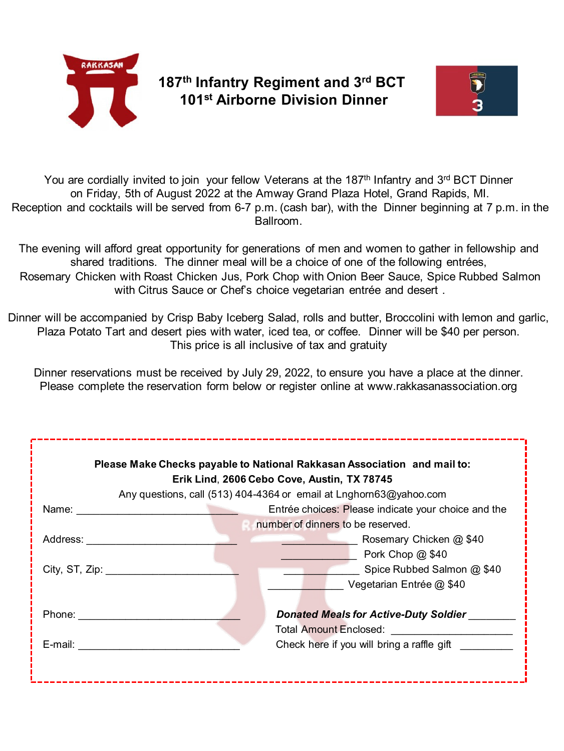

## **187th Infantry Regiment and 3rd BCT 101st Airborne Division Dinner**



You are cordially invited to join your fellow Veterans at the 187<sup>th</sup> Infantry and 3<sup>rd</sup> BCT Dinner on Friday, 5th of August 2022 at the Amway Grand Plaza Hotel, Grand Rapids, MI. Reception and cocktails will be served from 6-7 p.m. (cash bar), with the Dinner beginning at 7 p.m. in the Ballroom.

The evening will afford great opportunity for generations of men and women to gather in fellowship and shared traditions. The dinner meal will be a choice of one of the following entrées, Rosemary Chicken with Roast Chicken Jus, Pork Chop with Onion Beer Sauce, Spice Rubbed Salmon with Citrus Sauce or Chef's choice vegetarian entrée and desert .

Dinner will be accompanied by Crisp Baby Iceberg Salad, rolls and butter, Broccolini with lemon and garlic, Plaza Potato Tart and desert pies with water, iced tea, or coffee. Dinner will be \$40 per person. This price is all inclusive of tax and gratuity

Dinner reservations must be received by July 29, 2022, to ensure you have a place at the dinner. Please complete the reservation form below or register online at www.rakkasanassociation.org

| Please Make Checks payable to National Rakkasan Association and mail to:<br>Erik Lind, 2606 Cebo Cove, Austin, TX 78745<br>Any questions, call (513) 404-4364 or email at Lnghorn63@yahoo.com |                                                                                                                      |  |
|-----------------------------------------------------------------------------------------------------------------------------------------------------------------------------------------------|----------------------------------------------------------------------------------------------------------------------|--|
| Name:                                                                                                                                                                                         | Entrée choices: Please indicate your choice and the                                                                  |  |
|                                                                                                                                                                                               | number of dinners to be reserved.                                                                                    |  |
| Address:                                                                                                                                                                                      | Rosemary Chicken @ \$40                                                                                              |  |
|                                                                                                                                                                                               | Pork Chop @ \$40                                                                                                     |  |
| City, ST, Zip: $\_\_$                                                                                                                                                                         | Spice Rubbed Salmon @ \$40                                                                                           |  |
|                                                                                                                                                                                               | Vegetarian Entrée @ \$40                                                                                             |  |
| Phone:<br>E-mail:                                                                                                                                                                             | Donated Meals for Active-Duty Soldier<br><b>Total Amount Enclosed:</b><br>Check here if you will bring a raffle gift |  |
|                                                                                                                                                                                               |                                                                                                                      |  |